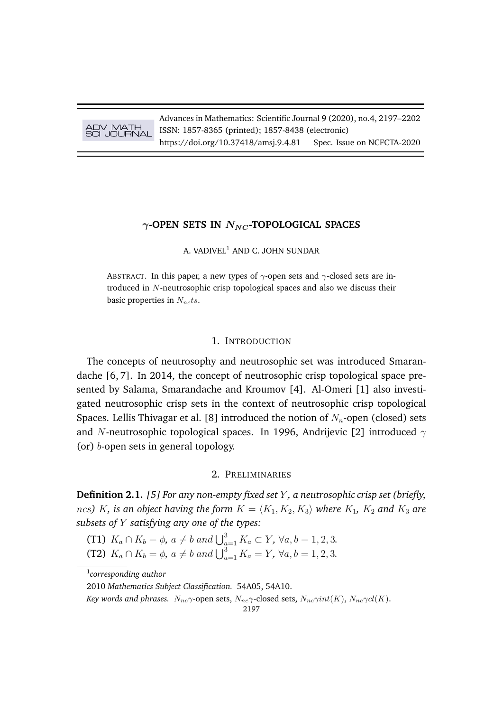Advances in Mathematics: Scientific Journal **9** (2020), no.4, 2197–2202 ISSN: 1857-8365 (printed); 1857-8438 (electronic) https://doi.org/10.37418/amsj.9.4.81 Spec. Issue on NCFCTA-2020

# $γ$ -OPEN SETS IN  $N_{NC}$ -TOPOLOGICAL SPACES

A. VADIVEL<sup>1</sup> AND C. JOHN SUNDAR

ABSTRACT. In this paper, a new types of  $\gamma$ -open sets and  $\gamma$ -closed sets are introduced in N-neutrosophic crisp topological spaces and also we discuss their basic properties in  $N_{nc}$ ts.

#### 1. INTRODUCTION

The concepts of neutrosophy and neutrosophic set was introduced Smarandache [6, 7]. In 2014, the concept of neutrosophic crisp topological space presented by Salama, Smarandache and Kroumov [4]. Al-Omeri [1] also investigated neutrosophic crisp sets in the context of neutrosophic crisp topological Spaces. Lellis Thivagar et al. [8] introduced the notion of  $N_n$ -open (closed) sets and N-neutrosophic topological spaces. In 1996, Andrijevic [2] introduced  $\gamma$ (or) b-open sets in general topology.

### 2. PRELIMINARIES

**Definition 2.1.** *[5] For any non-empty fixed set* Y *, a neutrosophic crisp set (briefly,* ncs) K, is an object having the form  $K = \langle K_1, K_2, K_3 \rangle$  where  $K_1$ ,  $K_2$  and  $K_3$  are *subsets of* Y *satisfying any one of the types:*

(T1)  $K_a \cap K_b = \phi$ ,  $a \neq b$  and  $\bigcup_{a=1}^3 K_a \subset Y$ ,  $\forall a, b = 1, 2, 3$ . (T2)  $K_a \cap K_b = \phi$ ,  $a \neq b$  and  $\bigcup_{a=1}^3 K_a = Y$ ,  $\forall a, b = 1, 2, 3$ .

1 *corresponding author*

<sup>2010</sup> *Mathematics Subject Classification.* 54A05, 54A10.

*Key words and phrases.*  $N_{nc} \gamma$ -open sets,  $N_{nc} \gamma$ -closed sets,  $N_{nc} \gamma int(K)$ ,  $N_{nc} \gamma cl(K)$ .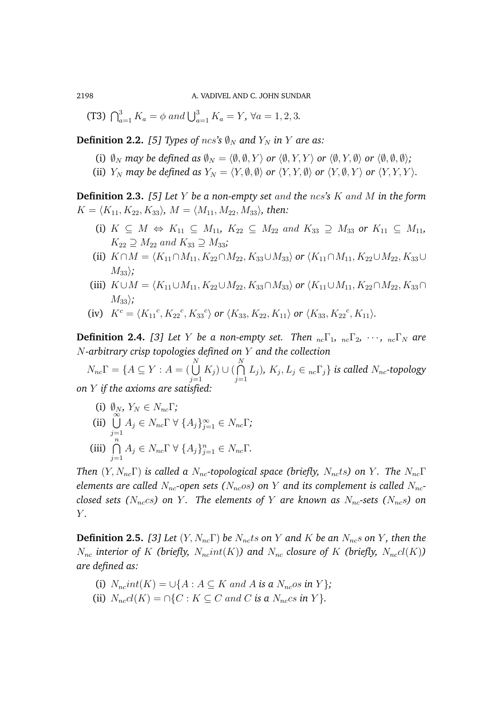(T3)  $\bigcap_{a=1}^{3} K_a = \phi$  and  $\bigcup_{a=1}^{3} K_a = Y$ ,  $\forall a = 1, 2, 3$ .

**Definition 2.2.** [5] Types of ncs's  $\emptyset_N$  and  $Y_N$  in Y are as:

- (i)  $\emptyset_N$  *may be defined as*  $\emptyset_N = \langle \emptyset, \emptyset, Y \rangle$  *or*  $\langle \emptyset, Y, Y \rangle$  *or*  $\langle \emptyset, Y, \emptyset \rangle$  *or*  $\langle \emptyset, \emptyset, \emptyset \rangle$ *;*
- (ii)  $Y_N$  *may be defined as*  $Y_N = \langle Y, \emptyset, \emptyset \rangle$  *or*  $\langle Y, Y, \emptyset \rangle$  *or*  $\langle Y, \emptyset, Y \rangle$  *or*  $\langle Y, Y, Y \rangle$ *.*

**Definition 2.3.** *[5] Let* Y *be a non-empty set* and *the* ncs*'s* K and M *in the form*  $K = \langle K_{11}, K_{22}, K_{33} \rangle$ ,  $M = \langle M_{11}, M_{22}, M_{33} \rangle$ , then:

- (i)  $K \subseteq M \Leftrightarrow K_{11} \subseteq M_{11}$ ,  $K_{22} \subseteq M_{22}$  and  $K_{33} \supseteq M_{33}$  or  $K_{11} \subseteq M_{11}$ ,  $K_{22} \supseteq M_{22}$  and  $K_{33} \supseteq M_{33}$ ;
- (ii)  $K \cap M = \langle K_{11} \cap M_{11}, K_{22} \cap M_{22}, K_{33} \cup M_{33} \rangle$  *or*  $\langle K_{11} \cap M_{11}, K_{22} \cup M_{22}, K_{33} \cup M_{33} \rangle$  $M_{33}$ ;
- (iii)  $K \cup M = \langle K_{11} \cup M_{11}, K_{22} \cup M_{22}, K_{33} \cap M_{33} \rangle$  *or*  $\langle K_{11} \cup M_{11}, K_{22} \cap M_{22}, K_{33} \cap M_{33} \rangle$  $M_{33}$ ;

(iv) 
$$
K^c = \langle K_{11}^c, K_{22}^c, K_{33}^c \rangle
$$
 or  $\langle K_{33}, K_{22}, K_{11} \rangle$  or  $\langle K_{33}, K_{22}^c, K_{11} \rangle$ .

**Definition 2.4.** [3] Let Y be a non-empty set. Then  ${}_{nc}\Gamma_1$ ,  ${}_{nc}\Gamma_2$ ,  $\cdots$ ,  ${}_{nc}\Gamma_N$  are N*-arbitrary crisp topologies defined on* Y *and the collection*

 $N_{nc}\Gamma = \{A \subseteq Y : A = (\bigcup_{i=1}^{N} S_i)^T \}$  $j=1$  $K_j$ ) ∪ ( $\bigcap^N$  $j=1$  $(L_j)$ ,  $K_j, L_j \in {}_{nc} \Gamma_j$  *is called*  $N_{nc}$ -topology *on* Y *if the axioms are satisfied:*

(i)  $\emptyset_N$ ,  $Y_N \in N_{nc}$ *Γ***;**  $(i)$   $\overline{\overset{\infty}{\cup}}$  $j=1$  $A_j \in N_{nc} \Gamma \ \forall \ \{A_j\}_{j=1}^{\infty} \in N_{nc} \Gamma;$ (iii)  $\bigcap^n$  $j=1$  $A_j \in N_{nc} \Gamma \ \forall \ \{A_j\}_{j=1}^n \in N_{nc} \Gamma.$ 

*Then*  $(Y, N_{nc} \Gamma)$  *is called a*  $N_{nc}$ -topological space (briefly,  $N_{nc}$ ts) on Y. The  $N_{nc} \Gamma$ *elements are called*  $N_{nc}$ -open sets ( $N_{nc}$ os) on Y and its complement is called  $N_{nc}$ *closed sets (N<sub>nc</sub>cs)* on *Y*. The elements of *Y* are known as  $N_{nc}$ -sets ( $N_{nc}s$ ) on Y *.*

**Definition 2.5.** [3] Let  $(Y, N_{nc} \Gamma)$  be  $N_{nc}$ ts on Y and K be an  $N_{nc}$ s on Y, then the  $N_{nc}$  *interior of* K *(briefly,*  $N_{nc}int(K)$ *)* and  $N_{nc}$  *closure of* K *(briefly,*  $N_{nc}cl(K)$ *) are defined as:*

- (i)  $N_{nc}int(K) = \bigcup \{A : A \subseteq K \text{ and } A \text{ is a } N_{nc}os \text{ in } Y \};$
- (ii)  $N_{nc}cl(K) = \bigcap \{C : K \subseteq C \text{ and } C \text{ is a } N_{nc}cs \text{ in } Y\}.$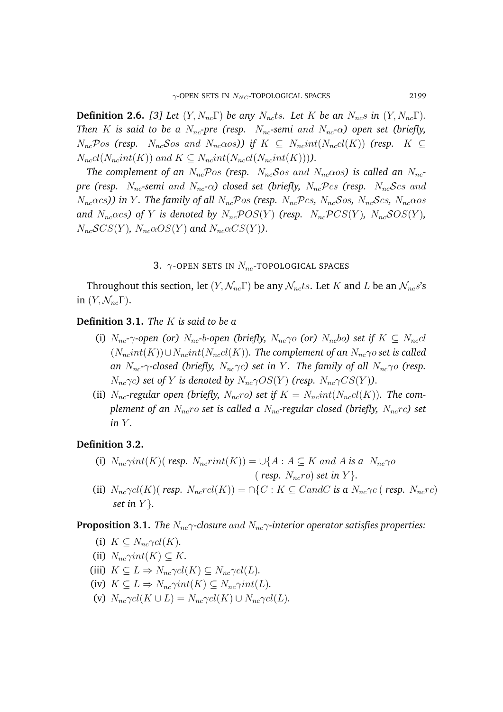**Definition 2.6.** [3] Let  $(Y, N_{nc} \Gamma)$  be any  $N_{nc}ts$ . Let K be an  $N_{nc}s$  in  $(Y, N_{nc} \Gamma)$ . *Then K is said to be a*  $N_{nc}$ -pre (resp.  $N_{nc}$ -semi and  $N_{nc}$ - $\alpha$ ) open set (briefly,  $N_{nc}$ Pos (resp.  $N_{nc}$ Sos and  $N_{nc}$ αos)) if  $K \subseteq N_{nc}$ int( $N_{nc}$ cl(K)) (resp.  $K \subseteq$  $N_{nccl}(N_{nc}int(K))$  and  $K \subseteq N_{nc}int(N_{nc}cl(N_{nc}int(K))))$ .

*The complement of an*  $N_{nc}$ Pos (resp.  $N_{nc}$ Sos and  $N_{nc}$  $\alpha$ os) is called an  $N_{nc}$ *pre (resp.*  $N_{nc}$ -semi and  $N_{nc}$ - $\alpha$ ) closed set (briefly,  $N_{nc}$ Pcs (resp.  $N_{nc}$ Scs and  $N_{nc}\alpha cs$ )) in Y. The family of all  $N_{nc}\mathcal{P}os$  (resp.  $N_{nc}\mathcal{P}cs$ ,  $N_{nc}\mathcal{S}os$ ,  $N_{nc}\mathcal{S}cs$ ,  $N_{nc}\alpha os$ *and*  $N_{nc}\alpha cs$ *)* of Y *is denoted by*  $N_{nc}POS(Y)$  *(resp.*  $N_{nc}PCS(Y)$ *,*  $N_{nc}SOS(Y)$ *,*  $N_{nc}SCS(Y)$ ,  $N_{nc}\alpha OS(Y)$  and  $N_{nc}\alpha CS(Y)$ .

3.  $\gamma$ -OPEN SETS IN  $N_{nc}$ -TOPOLOGICAL SPACES

Throughout this section, let  $(Y, \mathcal{N}_{nc}\Gamma)$  be any  $\mathcal{N}_{nc}$ ts. Let K and L be an  $\mathcal{N}_{nc}s$ 's in  $(Y, \mathcal{N}_{nc}\Gamma)$ .

# **Definition 3.1.** *The* K *is said to be a*

- (i)  $N_{nc}$ - $\gamma$ -open (or)  $N_{nc}$ -b-open (briefly,  $N_{nc}\gamma$ o (or)  $N_{nc}$ bo) set if  $K \subseteq N_{nc}$ cl  $(N_{nc}int(K)) \cup N_{nc}int(N_{nc}cI(K))$ . The complement of an  $N_{nc} \gamma$  *o set is called an*  $N_{nc}$ - $\gamma$ -closed (briefly,  $N_{nc} \gamma c$ ) set in Y. The family of all  $N_{nc} \gamma o$  (resp.  $N_{nc}\gamma c$ *) set of* Y *is denoted by*  $N_{nc}\gamma O S(Y)$  (resp.  $N_{nc}\gamma CS(Y)$ ).
- (ii)  $N_{nc}$ -regular open (briefly,  $N_{nc}$ ro) set if  $K = N_{nc}int(N_{nc}c l(K))$ . The com*plement of an*  $N_{nc}$  *ro set is called a*  $N_{nc}$ -regular closed (briefly,  $N_{nc}$  *rc) set in*  $Y$ *.*

# **Definition 3.2.**

- (i)  $N_{nc}\gamma int(K)$  (*resp.*  $N_{nc}rint(K)$ ) =  $\cup \{A : A \subseteq K \text{ and } A \text{ is a } N_{nc}\gamma o$ ( *resp.*  $N_{nc}$ *ro*) *set in*  $Y$ *}.*
- (ii)  $N_{nc} \gamma c l(K)$ ( *resp.*  $N_{nc} r c l(K)$ ) =  $\cap$ {C : K  $\subseteq C$  and C is a  $N_{nc} \gamma c$  ( *resp.*  $N_{nc} r c$ ) *set in* Y }*.*

**Proposition 3.1.** *The N<sub>nc</sub>*γ-closure and *N<sub>nc</sub>*γ-interior operator satisfies properties:

- (i)  $K \subset N_{nc} \gamma c l(K)$ .
- (ii)  $N_{nc}\gamma int(K) \subseteq K$ .
- (iii)  $K \subseteq L \Rightarrow N_{nc} \gamma cl(K) \subseteq N_{nc} \gamma cl(L)$ .
- (iv)  $K \subseteq L \Rightarrow N_{nc} \gamma int(K) \subseteq N_{nc} \gamma int(L)$ .
- (v)  $N_{nc} \gamma c l(K \cup L) = N_{nc} \gamma c l(K) \cup N_{nc} \gamma c l(L)$ .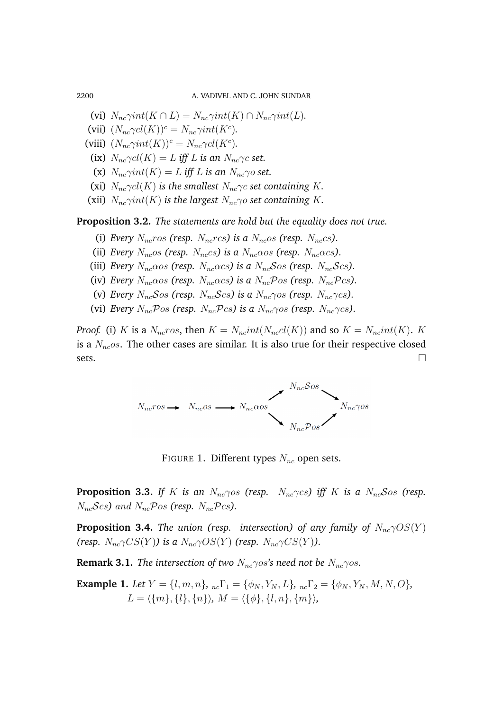2200 A. VADIVEL AND C. JOHN SUNDAR

- (vi)  $N_{nc}\gamma int(K \cap L) = N_{nc}\gamma int(K) \cap N_{nc}\gamma int(L)$ .
- (vii)  $(N_{nc}\gamma c l(K))^c = N_{nc}\gamma int(K^c)$ *.*
- (viii)  $(N_{nc}\gamma int(K))^c = N_{nc}\gamma cl(K^c)$ *.*
- (ix)  $N_{nc} \gamma c l(K) = L$  *iff* L *is an*  $N_{nc} \gamma c$  *set.*
- (x)  $N_{nc}\gamma int(K) = L$  *iff* L *is an*  $N_{nc}\gamma o$  *set.*
- (xi)  $N_{nc} \gamma c l(K)$  *is the smallest*  $N_{nc} \gamma c$  *set containing* K.
- (xii)  $N_{nc}\gamma int(K)$  *is the largest*  $N_{nc}\gamma o$  *set containing* K.

**Proposition 3.2.** *The statements are hold but the equality does not true.*

- (i) *Every*  $N_{nc}$ *ros* (resp.  $N_{nc}$ *rcs*) is a  $N_{nc}$ *os* (resp.  $N_{nc}$ *cs*).
- (ii) *Every*  $N_{nc}$ os (resp.  $N_{nc}$ cs) is a  $N_{nc}$ cos (resp.  $N_{nc}$ ccs).
- (iii) *Every*  $N_{nc}\alpha$ os (resp.  $N_{nc}\alpha$ cs) is a  $N_{nc}\delta$ os (resp.  $N_{nc}\delta$ cs).
- (iv) *Every*  $N_{nc}\alpha$ os (resp.  $N_{nc}\alpha$ cs) is a  $N_{nc}\mathcal{P}\alpha$ s (resp.  $N_{nc}\mathcal{P}\alpha$ s).
- (v) *Every*  $N_{nc}$ Sos (resp.  $N_{nc}$ Scs) is a  $N_{nc}$  $\gamma$ os (resp.  $N_{nc}$  $\gamma$ cs).
- (vi) *Every*  $N_{nc}$ Pos (resp.  $N_{nc}$ Pcs) is a  $N_{nc}$  $\gamma$ os (resp.  $N_{nc}$  $\gamma$ cs).

*Proof.* (i) K is a  $N_{nc}$ ros, then  $K = N_{nc}int(N_{nc}c l(K))$  and so  $K = N_{nc}int(K)$ . K is a  $N_{nc}$ os. The other cases are similar. It is also true for their respective closed  $sets.$ 



FIGURE 1. Different types  $N_{nc}$  open sets.

**Proposition 3.3.** *If* K *is an*  $N_{nc}\gamma$ os *(resp.*  $N_{nc}\gamma$ cs) *iff* K *is a*  $N_{nc}S$ os *(resp.*  $N_{nc}$ Scs) and  $N_{nc}$ Pos (resp.  $N_{nc}$ Pcs).

**Proposition 3.4.** *The union (resp. intersection) of any family of*  $N_{nc} \gamma O S(Y)$ *(resp.*  $N_{nc}\gamma CS(Y)$ *) is a*  $N_{nc}\gamma OS(Y)$  *(resp.*  $N_{nc}\gamma CS(Y)$ *).* 

**Remark 3.1.** *The intersection of two*  $N_{nc} \gamma os$ *'s need not be*  $N_{nc} \gamma os$ *.* 

**Example 1.** *Let*  $Y = \{l, m, n\}$ ,  ${}_{nc} \Gamma_1 = \{\phi_N, Y_N, L\}$ ,  ${}_{nc} \Gamma_2 = \{\phi_N, Y_N, M, N, O\}$ ,  $L = \langle \{m\}, \{l\}, \{n\}\rangle, M = \langle \{\phi\}, \{l, n\}, \{m\}\rangle,$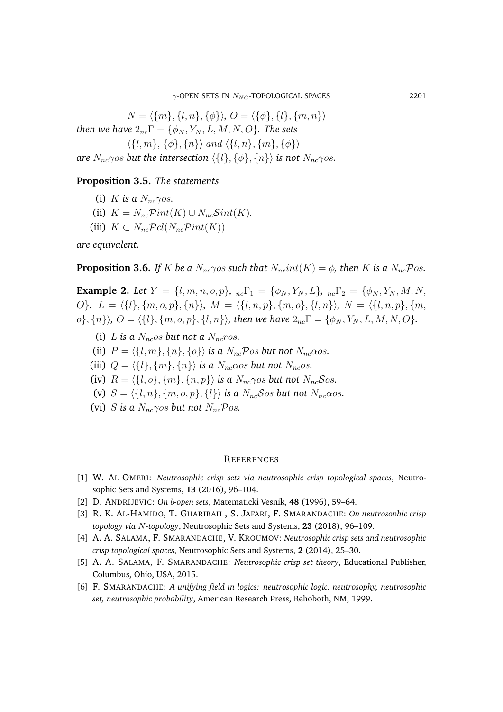$\gamma$ -OPEN SETS IN  $N_{NC}$ -TOPOLOGICAL SPACES 2201

 $N = \langle \{m\}, \{l, n\}, \{\phi\}\rangle$ ,  $O = \langle \{\phi\}, \{l\}, \{m, n\}\rangle$ *then we have*  $2_{nc}\Gamma = \{\phi_N, Y_N, L, M, N, O\}$ *. The sets*  $\langle \{l, m\}, \{\phi\}, \{n\} \rangle$  and  $\langle \{l, n\}, \{m\}, \{\phi\} \rangle$ *are*  $N_{nc}\gamma$ *os but the intersection*  $\{\{l\}, \{\phi\}, \{n\}\}\$ *is not*  $N_{nc}\gamma$ *os.* 

### **Proposition 3.5.** *The statements*

- (i) K is a  $N_{nc}\gamma$ os.
- (ii)  $K = N_{nc} \mathcal{P} int(K) \cup N_{nc} \mathcal{S} int(K)$ .
- (iii)  $K \subset N_{nc} \mathcal{P}cl(N_{nc} \mathcal{P}int(K))$

*are equivalent.*

**Proposition 3.6.** *If* K *be a*  $N_{nc}$   $\gamma$  *os such that*  $N_{nc}$ *int*(K) =  $\phi$ *, then* K *is a*  $N_{nc}$ *Pos.* 

**Example 2.** Let  $Y = \{l, m, n, o, p\}$ ,  ${}_{nc}\Gamma_1 = \{\phi_N, Y_N, L\}$ ,  ${}_{nc}\Gamma_2 = \{\phi_N, Y_N, M, N, \phi_N, L\}$ O}.  $L = \langle \{l\}, \{m, o, p\}, \{n\}\rangle$ ,  $M = \langle \{l, n, p\}, \{m, o\}, \{l, n\}\rangle$ ,  $N = \langle \{l, n, p\}, \{m, n\}\rangle$ o},  $\{n\}$ ,  $O = \{\{l\}, \{m, o, p\}, \{l, n\}\}\$ , then we have  $2_{nc}\Gamma = \{\phi_N, Y_N, L, M, N, O\}$ .

- (i) L is a  $N_{nc}$ os but not a  $N_{nc}$ ros.
- (ii)  $P = \langle \{l, m\}, \{n\}, \{o\} \rangle$  *is a*  $N_{nc}Pos$  *but not*  $N_{nc}\alpha os$ *.*
- (iii)  $Q = \langle \{l\}, \{m\}, \{n\} \rangle$  *is a*  $N_{nc} \omega$ *os but not*  $N_{nc} \omega s$ .
- (iv)  $R = \langle \{l, o\}, \{m\}, \{n, p\} \rangle$  *is a*  $N_{nc}\gamma$ os *but not*  $N_{nc}\mathcal{S}$ os.
- (v)  $S = \{\{l, n\}, \{m, o, p\}, \{l\}\}\$ is a  $N_{nc}$ Sos but not  $N_{nc}$  $\alpha$ os.
- (vi) *S* is a  $N_{nc}$  $\gamma$ os but not  $N_{nc}$  $\gamma$ os.

#### **REFERENCES**

- [1] W. AL-OMERI: *Neutrosophic crisp sets via neutrosophic crisp topological spaces*, Neutrosophic Sets and Systems, **13** (2016), 96–104.
- [2] D. ANDRIJEVIC: *On* b*-open sets*, Matematicki Vesnik, **48** (1996), 59–64.
- [3] R. K. AL-HAMIDO, T. GHARIBAH , S. JAFARI, F. SMARANDACHE: *On neutrosophic crisp topology via* N*-topology*, Neutrosophic Sets and Systems, **23** (2018), 96–109.
- [4] A. A. SALAMA, F. SMARANDACHE, V. KROUMOV: *Neutrosophic crisp sets and neutrosophic crisp topological spaces*, Neutrosophic Sets and Systems, **2** (2014), 25–30.
- [5] A. A. SALAMA, F. SMARANDACHE: *Neutrosophic crisp set theory*, Educational Publisher, Columbus, Ohio, USA, 2015.
- [6] F. SMARANDACHE: *A unifying field in logics: neutrosophic logic. neutrosophy, neutrosophic set, neutrosophic probability*, American Research Press, Rehoboth, NM, 1999.